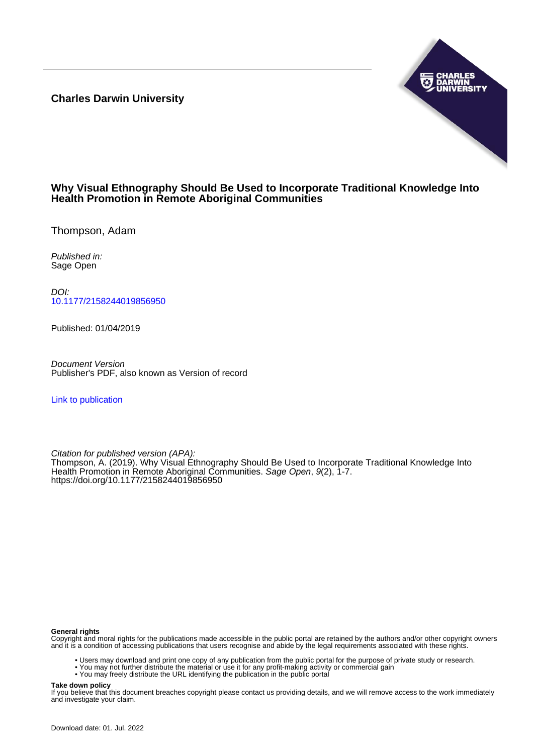**Charles Darwin University**



# **Why Visual Ethnography Should Be Used to Incorporate Traditional Knowledge Into Health Promotion in Remote Aboriginal Communities**

Thompson, Adam

Published in: Sage Open

DOI: [10.1177/2158244019856950](https://doi.org/10.1177/2158244019856950)

Published: 01/04/2019

Document Version Publisher's PDF, also known as Version of record

[Link to publication](https://researchers.cdu.edu.au/en/publications/bb157a18-8f61-49c6-8381-cf8dfb8cda0e)

Citation for published version (APA):

Thompson, A. (2019). Why Visual Ethnography Should Be Used to Incorporate Traditional Knowledge Into Health Promotion in Remote Aboriginal Communities. Sage Open, 9(2), 1-7. <https://doi.org/10.1177/2158244019856950>

#### **General rights**

Copyright and moral rights for the publications made accessible in the public portal are retained by the authors and/or other copyright owners and it is a condition of accessing publications that users recognise and abide by the legal requirements associated with these rights.

- Users may download and print one copy of any publication from the public portal for the purpose of private study or research.
- You may not further distribute the material or use it for any profit-making activity or commercial gain
- You may freely distribute the URL identifying the publication in the public portal

#### **Take down policy**

If you believe that this document breaches copyright please contact us providing details, and we will remove access to the work immediately and investigate your claim.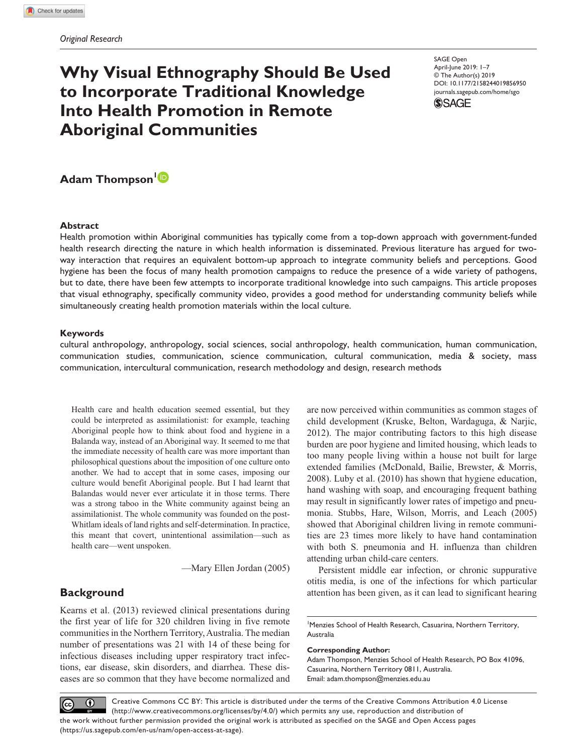# **Why Visual Ethnography Should Be Used to Incorporate Traditional Knowledge Into Health Promotion in Remote Aboriginal Communities**

DOI: 10.1177/2158244019856950 SAGE Open April-June 2019: 1–7 © The Author(s) 2019 [journals.sagepub.com/home/sgo](https://journals.sagepub.com/home/sgo)



Adam Thompson<sup>1</sup><sup>D</sup>

#### **Abstract**

Health promotion within Aboriginal communities has typically come from a top-down approach with government-funded health research directing the nature in which health information is disseminated. Previous literature has argued for twoway interaction that requires an equivalent bottom-up approach to integrate community beliefs and perceptions. Good hygiene has been the focus of many health promotion campaigns to reduce the presence of a wide variety of pathogens, but to date, there have been few attempts to incorporate traditional knowledge into such campaigns. This article proposes that visual ethnography, specifically community video, provides a good method for understanding community beliefs while simultaneously creating health promotion materials within the local culture.

#### **Keywords**

cultural anthropology, anthropology, social sciences, social anthropology, health communication, human communication, communication studies, communication, science communication, cultural communication, media & society, mass communication, intercultural communication, research methodology and design, research methods

Health care and health education seemed essential, but they could be interpreted as assimilationist: for example, teaching Aboriginal people how to think about food and hygiene in a Balanda way, instead of an Aboriginal way. It seemed to me that the immediate necessity of health care was more important than philosophical questions about the imposition of one culture onto another. We had to accept that in some cases, imposing our culture would benefit Aboriginal people. But I had learnt that Balandas would never ever articulate it in those terms. There was a strong taboo in the White community against being an assimilationist. The whole community was founded on the post-Whitlam ideals of land rights and self-determination. In practice, this meant that covert, unintentional assimilation—such as health care—went unspoken.

—Mary Ellen Jordan (2005)

## **Background**

Kearns et al. (2013) reviewed clinical presentations during the first year of life for 320 children living in five remote communities in the Northern Territory, Australia. The median number of presentations was 21 with 14 of these being for infectious diseases including upper respiratory tract infections, ear disease, skin disorders, and diarrhea. These diseases are so common that they have become normalized and are now perceived within communities as common stages of child development (Kruske, Belton, Wardaguga, & Narjic, 2012). The major contributing factors to this high disease burden are poor hygiene and limited housing, which leads to too many people living within a house not built for large extended families (McDonald, Bailie, Brewster, & Morris, 2008). Luby et al. (2010) has shown that hygiene education, hand washing with soap, and encouraging frequent bathing may result in significantly lower rates of impetigo and pneumonia. Stubbs, Hare, Wilson, Morris, and Leach (2005) showed that Aboriginal children living in remote communities are 23 times more likely to have hand contamination with both S. pneumonia and H. influenza than children attending urban child-care centers.

Persistent middle ear infection, or chronic suppurative otitis media, is one of the infections for which particular attention has been given, as it can lead to significant hearing

<sup>1</sup>Menzies School of Health Research, Casuarina, Northern Territory, Australia

#### **Corresponding Author:**

Adam Thompson, Menzies School of Health Research, PO Box 41096, Casuarina, Northern Territory 0811, Australia. Email: [adam.thompson@menzies.edu.au](mailto:adam.thompson@menzies.edu.au)

Creative Commons CC BY: This article is distributed under the terms of the Creative Commons Attribution 4.0 License  $\odot$  $\left(\mathrm{cc}\right)$ (http://www.creativecommons.org/licenses/by/4.0/) which permits any use, reproduction and distribution of the work without further permission provided the original work is attributed as specified on the SAGE and Open Access pages (https://us.sagepub.com/en-us/nam/open-access-at-sage).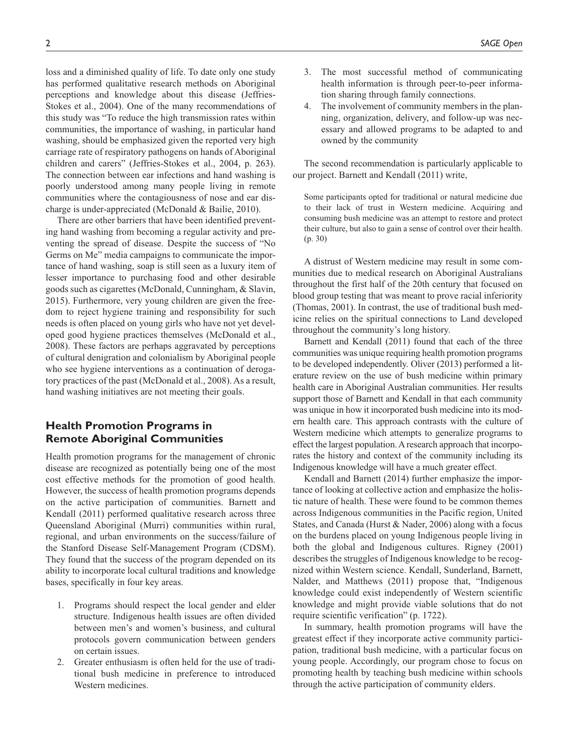loss and a diminished quality of life. To date only one study has performed qualitative research methods on Aboriginal perceptions and knowledge about this disease (Jeffries-Stokes et al., 2004). One of the many recommendations of this study was "To reduce the high transmission rates within communities, the importance of washing, in particular hand washing, should be emphasized given the reported very high carriage rate of respiratory pathogens on hands of Aboriginal children and carers" (Jeffries-Stokes et al., 2004, p. 263). The connection between ear infections and hand washing is poorly understood among many people living in remote communities where the contagiousness of nose and ear discharge is under-appreciated (McDonald & Bailie, 2010).

There are other barriers that have been identified preventing hand washing from becoming a regular activity and preventing the spread of disease. Despite the success of "No Germs on Me" media campaigns to communicate the importance of hand washing, soap is still seen as a luxury item of lesser importance to purchasing food and other desirable goods such as cigarettes (McDonald, Cunningham, & Slavin, 2015). Furthermore, very young children are given the freedom to reject hygiene training and responsibility for such needs is often placed on young girls who have not yet developed good hygiene practices themselves (McDonald et al., 2008). These factors are perhaps aggravated by perceptions of cultural denigration and colonialism by Aboriginal people who see hygiene interventions as a continuation of derogatory practices of the past (McDonald et al., 2008). As a result, hand washing initiatives are not meeting their goals.

# **Health Promotion Programs in Remote Aboriginal Communities**

Health promotion programs for the management of chronic disease are recognized as potentially being one of the most cost effective methods for the promotion of good health. However, the success of health promotion programs depends on the active participation of communities. Barnett and Kendall (2011) performed qualitative research across three Queensland Aboriginal (Murri) communities within rural, regional, and urban environments on the success/failure of the Stanford Disease Self-Management Program (CDSM). They found that the success of the program depended on its ability to incorporate local cultural traditions and knowledge bases, specifically in four key areas.

- 1. Programs should respect the local gender and elder structure. Indigenous health issues are often divided between men's and women's business, and cultural protocols govern communication between genders on certain issues.
- 2. Greater enthusiasm is often held for the use of traditional bush medicine in preference to introduced Western medicines.
- 3. The most successful method of communicating health information is through peer-to-peer information sharing through family connections.
- 4. The involvement of community members in the planning, organization, delivery, and follow-up was necessary and allowed programs to be adapted to and owned by the community

The second recommendation is particularly applicable to our project. Barnett and Kendall (2011) write,

Some participants opted for traditional or natural medicine due to their lack of trust in Western medicine. Acquiring and consuming bush medicine was an attempt to restore and protect their culture, but also to gain a sense of control over their health. (p. 30)

A distrust of Western medicine may result in some communities due to medical research on Aboriginal Australians throughout the first half of the 20th century that focused on blood group testing that was meant to prove racial inferiority (Thomas, 2001). In contrast, the use of traditional bush medicine relies on the spiritual connections to Land developed throughout the community's long history.

Barnett and Kendall (2011) found that each of the three communities was unique requiring health promotion programs to be developed independently. Oliver (2013) performed a literature review on the use of bush medicine within primary health care in Aboriginal Australian communities. Her results support those of Barnett and Kendall in that each community was unique in how it incorporated bush medicine into its modern health care. This approach contrasts with the culture of Western medicine which attempts to generalize programs to effect the largest population. A research approach that incorporates the history and context of the community including its Indigenous knowledge will have a much greater effect.

Kendall and Barnett (2014) further emphasize the importance of looking at collective action and emphasize the holistic nature of health. These were found to be common themes across Indigenous communities in the Pacific region, United States, and Canada (Hurst & Nader, 2006) along with a focus on the burdens placed on young Indigenous people living in both the global and Indigenous cultures. Rigney (2001) describes the struggles of Indigenous knowledge to be recognized within Western science. Kendall, Sunderland, Barnett, Nalder, and Matthews (2011) propose that, "Indigenous knowledge could exist independently of Western scientific knowledge and might provide viable solutions that do not require scientific verification" (p. 1722).

In summary, health promotion programs will have the greatest effect if they incorporate active community participation, traditional bush medicine, with a particular focus on young people. Accordingly, our program chose to focus on promoting health by teaching bush medicine within schools through the active participation of community elders.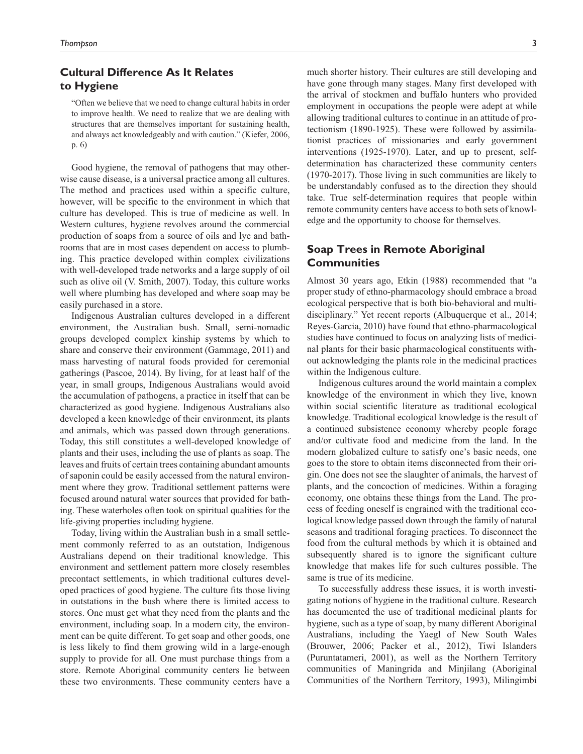# **Cultural Difference As It Relates to Hygiene**

"Often we believe that we need to change cultural habits in order to improve health. We need to realize that we are dealing with structures that are themselves important for sustaining health, and always act knowledgeably and with caution." (Kiefer, 2006, p. 6)

Good hygiene, the removal of pathogens that may otherwise cause disease, is a universal practice among all cultures. The method and practices used within a specific culture, however, will be specific to the environment in which that culture has developed. This is true of medicine as well. In Western cultures, hygiene revolves around the commercial production of soaps from a source of oils and lye and bathrooms that are in most cases dependent on access to plumbing. This practice developed within complex civilizations with well-developed trade networks and a large supply of oil such as olive oil (V. Smith, 2007). Today, this culture works well where plumbing has developed and where soap may be easily purchased in a store.

Indigenous Australian cultures developed in a different environment, the Australian bush. Small, semi-nomadic groups developed complex kinship systems by which to share and conserve their environment (Gammage, 2011) and mass harvesting of natural foods provided for ceremonial gatherings (Pascoe, 2014). By living, for at least half of the year, in small groups, Indigenous Australians would avoid the accumulation of pathogens, a practice in itself that can be characterized as good hygiene. Indigenous Australians also developed a keen knowledge of their environment, its plants and animals, which was passed down through generations. Today, this still constitutes a well-developed knowledge of plants and their uses, including the use of plants as soap. The leaves and fruits of certain trees containing abundant amounts of saponin could be easily accessed from the natural environment where they grow. Traditional settlement patterns were focused around natural water sources that provided for bathing. These waterholes often took on spiritual qualities for the life-giving properties including hygiene.

Today, living within the Australian bush in a small settlement commonly referred to as an outstation, Indigenous Australians depend on their traditional knowledge. This environment and settlement pattern more closely resembles precontact settlements, in which traditional cultures developed practices of good hygiene. The culture fits those living in outstations in the bush where there is limited access to stores. One must get what they need from the plants and the environment, including soap. In a modern city, the environment can be quite different. To get soap and other goods, one is less likely to find them growing wild in a large-enough supply to provide for all. One must purchase things from a store. Remote Aboriginal community centers lie between these two environments. These community centers have a much shorter history. Their cultures are still developing and have gone through many stages. Many first developed with the arrival of stockmen and buffalo hunters who provided employment in occupations the people were adept at while allowing traditional cultures to continue in an attitude of protectionism (1890-1925). These were followed by assimilationist practices of missionaries and early government interventions (1925-1970). Later, and up to present, selfdetermination has characterized these community centers (1970-2017). Those living in such communities are likely to be understandably confused as to the direction they should take. True self-determination requires that people within remote community centers have access to both sets of knowledge and the opportunity to choose for themselves.

## **Soap Trees in Remote Aboriginal Communities**

Almost 30 years ago, Etkin (1988) recommended that "a proper study of ethno-pharmacology should embrace a broad ecological perspective that is both bio-behavioral and multidisciplinary." Yet recent reports (Albuquerque et al., 2014; Reyes-Garcia, 2010) have found that ethno-pharmacological studies have continued to focus on analyzing lists of medicinal plants for their basic pharmacological constituents without acknowledging the plants role in the medicinal practices within the Indigenous culture.

Indigenous cultures around the world maintain a complex knowledge of the environment in which they live, known within social scientific literature as traditional ecological knowledge. Traditional ecological knowledge is the result of a continued subsistence economy whereby people forage and/or cultivate food and medicine from the land. In the modern globalized culture to satisfy one's basic needs, one goes to the store to obtain items disconnected from their origin. One does not see the slaughter of animals, the harvest of plants, and the concoction of medicines. Within a foraging economy, one obtains these things from the Land. The process of feeding oneself is engrained with the traditional ecological knowledge passed down through the family of natural seasons and traditional foraging practices. To disconnect the food from the cultural methods by which it is obtained and subsequently shared is to ignore the significant culture knowledge that makes life for such cultures possible. The same is true of its medicine.

To successfully address these issues, it is worth investigating notions of hygiene in the traditional culture. Research has documented the use of traditional medicinal plants for hygiene, such as a type of soap, by many different Aboriginal Australians, including the Yaegl of New South Wales (Brouwer, 2006; Packer et al., 2012), Tiwi Islanders (Puruntatameri, 2001), as well as the Northern Territory communities of Maningrida and Minjilang (Aboriginal Communities of the Northern Territory, 1993), Milingimbi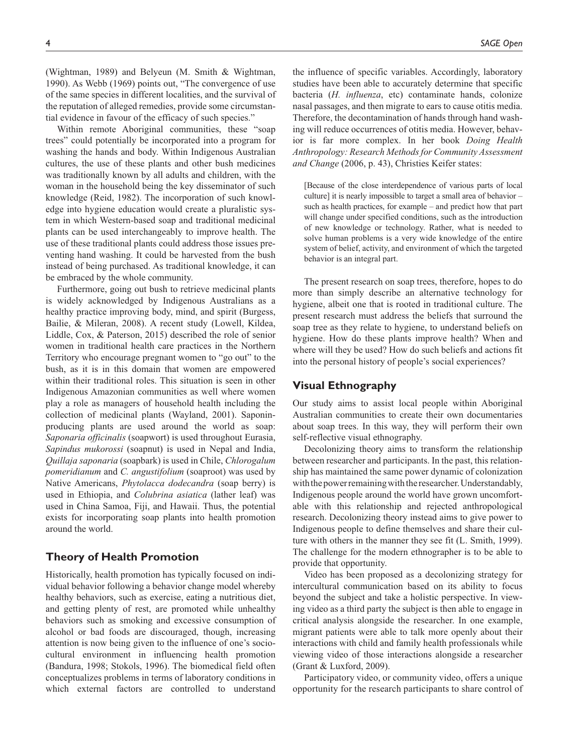(Wightman, 1989) and Belyeun (M. Smith & Wightman, 1990). As Webb (1969) points out, "The convergence of use of the same species in different localities, and the survival of the reputation of alleged remedies, provide some circumstantial evidence in favour of the efficacy of such species."

Within remote Aboriginal communities, these "soap trees" could potentially be incorporated into a program for washing the hands and body. Within Indigenous Australian cultures, the use of these plants and other bush medicines was traditionally known by all adults and children, with the woman in the household being the key disseminator of such knowledge (Reid, 1982). The incorporation of such knowledge into hygiene education would create a pluralistic system in which Western-based soap and traditional medicinal plants can be used interchangeably to improve health. The use of these traditional plants could address those issues preventing hand washing. It could be harvested from the bush instead of being purchased. As traditional knowledge, it can be embraced by the whole community.

Furthermore, going out bush to retrieve medicinal plants is widely acknowledged by Indigenous Australians as a healthy practice improving body, mind, and spirit (Burgess, Bailie, & Mileran, 2008). A recent study (Lowell, Kildea, Liddle, Cox, & Paterson, 2015) described the role of senior women in traditional health care practices in the Northern Territory who encourage pregnant women to "go out" to the bush, as it is in this domain that women are empowered within their traditional roles. This situation is seen in other Indigenous Amazonian communities as well where women play a role as managers of household health including the collection of medicinal plants (Wayland, 2001). Saponinproducing plants are used around the world as soap: *Saponaria officinalis* (soapwort) is used throughout Eurasia, *Sapindus mukorossi* (soapnut) is used in Nepal and India, *Quillaja saponaria* (soapbark) is used in Chile, *Chlorogalum pomeridianum* and *C. angustifolium* (soaproot) was used by Native Americans, *Phytolacca dodecandra* (soap berry) is used in Ethiopia, and *Colubrina asiatica* (lather leaf) was used in China Samoa, Fiji, and Hawaii. Thus, the potential exists for incorporating soap plants into health promotion around the world.

## **Theory of Health Promotion**

Historically, health promotion has typically focused on individual behavior following a behavior change model whereby healthy behaviors, such as exercise, eating a nutritious diet, and getting plenty of rest, are promoted while unhealthy behaviors such as smoking and excessive consumption of alcohol or bad foods are discouraged, though, increasing attention is now being given to the influence of one's sociocultural environment in influencing health promotion (Bandura, 1998; Stokols, 1996). The biomedical field often conceptualizes problems in terms of laboratory conditions in which external factors are controlled to understand

the influence of specific variables. Accordingly, laboratory studies have been able to accurately determine that specific bacteria (*H. influenza*, etc) contaminate hands, colonize nasal passages, and then migrate to ears to cause otitis media. Therefore, the decontamination of hands through hand washing will reduce occurrences of otitis media. However, behavior is far more complex. In her book *Doing Health Anthropology: Research Methods for Community Assessment and Change* (2006, p. 43), Christies Keifer states:

[Because of the close interdependence of various parts of local culture] it is nearly impossible to target a small area of behavior – such as health practices, for example – and predict how that part will change under specified conditions, such as the introduction of new knowledge or technology. Rather, what is needed to solve human problems is a very wide knowledge of the entire system of belief, activity, and environment of which the targeted behavior is an integral part.

The present research on soap trees, therefore, hopes to do more than simply describe an alternative technology for hygiene, albeit one that is rooted in traditional culture. The present research must address the beliefs that surround the soap tree as they relate to hygiene, to understand beliefs on hygiene. How do these plants improve health? When and where will they be used? How do such beliefs and actions fit into the personal history of people's social experiences?

## **Visual Ethnography**

Our study aims to assist local people within Aboriginal Australian communities to create their own documentaries about soap trees. In this way, they will perform their own self-reflective visual ethnography.

Decolonizing theory aims to transform the relationship between researcher and participants. In the past, this relationship has maintained the same power dynamic of colonization with the power remaining with the researcher. Understandably, Indigenous people around the world have grown uncomfortable with this relationship and rejected anthropological research. Decolonizing theory instead aims to give power to Indigenous people to define themselves and share their culture with others in the manner they see fit (L. Smith, 1999). The challenge for the modern ethnographer is to be able to provide that opportunity.

Video has been proposed as a decolonizing strategy for intercultural communication based on its ability to focus beyond the subject and take a holistic perspective. In viewing video as a third party the subject is then able to engage in critical analysis alongside the researcher. In one example, migrant patients were able to talk more openly about their interactions with child and family health professionals while viewing video of those interactions alongside a researcher (Grant & Luxford, 2009).

Participatory video, or community video, offers a unique opportunity for the research participants to share control of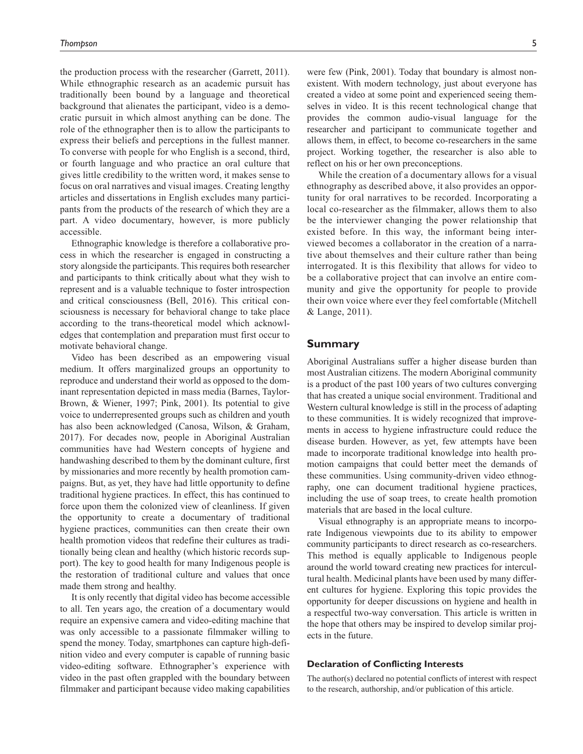the production process with the researcher (Garrett, 2011). While ethnographic research as an academic pursuit has traditionally been bound by a language and theoretical background that alienates the participant, video is a democratic pursuit in which almost anything can be done. The role of the ethnographer then is to allow the participants to express their beliefs and perceptions in the fullest manner. To converse with people for who English is a second, third, or fourth language and who practice an oral culture that gives little credibility to the written word, it makes sense to focus on oral narratives and visual images. Creating lengthy articles and dissertations in English excludes many participants from the products of the research of which they are a part. A video documentary, however, is more publicly accessible.

Ethnographic knowledge is therefore a collaborative process in which the researcher is engaged in constructing a story alongside the participants. This requires both researcher and participants to think critically about what they wish to represent and is a valuable technique to foster introspection and critical consciousness (Bell, 2016). This critical consciousness is necessary for behavioral change to take place according to the trans-theoretical model which acknowledges that contemplation and preparation must first occur to motivate behavioral change.

Video has been described as an empowering visual medium. It offers marginalized groups an opportunity to reproduce and understand their world as opposed to the dominant representation depicted in mass media (Barnes, Taylor-Brown, & Wiener, 1997; Pink, 2001). Its potential to give voice to underrepresented groups such as children and youth has also been acknowledged (Canosa, Wilson, & Graham, 2017). For decades now, people in Aboriginal Australian communities have had Western concepts of hygiene and handwashing described to them by the dominant culture, first by missionaries and more recently by health promotion campaigns. But, as yet, they have had little opportunity to define traditional hygiene practices. In effect, this has continued to force upon them the colonized view of cleanliness. If given the opportunity to create a documentary of traditional hygiene practices, communities can then create their own health promotion videos that redefine their cultures as traditionally being clean and healthy (which historic records support). The key to good health for many Indigenous people is the restoration of traditional culture and values that once made them strong and healthy.

It is only recently that digital video has become accessible to all. Ten years ago, the creation of a documentary would require an expensive camera and video-editing machine that was only accessible to a passionate filmmaker willing to spend the money. Today, smartphones can capture high-definition video and every computer is capable of running basic video-editing software. Ethnographer's experience with video in the past often grappled with the boundary between filmmaker and participant because video making capabilities

were few (Pink, 2001). Today that boundary is almost nonexistent. With modern technology, just about everyone has created a video at some point and experienced seeing themselves in video. It is this recent technological change that provides the common audio-visual language for the researcher and participant to communicate together and allows them, in effect, to become co-researchers in the same project. Working together, the researcher is also able to reflect on his or her own preconceptions.

While the creation of a documentary allows for a visual ethnography as described above, it also provides an opportunity for oral narratives to be recorded. Incorporating a local co-researcher as the filmmaker, allows them to also be the interviewer changing the power relationship that existed before. In this way, the informant being interviewed becomes a collaborator in the creation of a narrative about themselves and their culture rather than being interrogated. It is this flexibility that allows for video to be a collaborative project that can involve an entire community and give the opportunity for people to provide their own voice where ever they feel comfortable (Mitchell & Lange, 2011).

## **Summary**

Aboriginal Australians suffer a higher disease burden than most Australian citizens. The modern Aboriginal community is a product of the past 100 years of two cultures converging that has created a unique social environment. Traditional and Western cultural knowledge is still in the process of adapting to these communities. It is widely recognized that improvements in access to hygiene infrastructure could reduce the disease burden. However, as yet, few attempts have been made to incorporate traditional knowledge into health promotion campaigns that could better meet the demands of these communities. Using community-driven video ethnography, one can document traditional hygiene practices, including the use of soap trees, to create health promotion materials that are based in the local culture.

Visual ethnography is an appropriate means to incorporate Indigenous viewpoints due to its ability to empower community participants to direct research as co-researchers. This method is equally applicable to Indigenous people around the world toward creating new practices for intercultural health. Medicinal plants have been used by many different cultures for hygiene. Exploring this topic provides the opportunity for deeper discussions on hygiene and health in a respectful two-way conversation. This article is written in the hope that others may be inspired to develop similar projects in the future.

#### **Declaration of Conflicting Interests**

The author(s) declared no potential conflicts of interest with respect to the research, authorship, and/or publication of this article.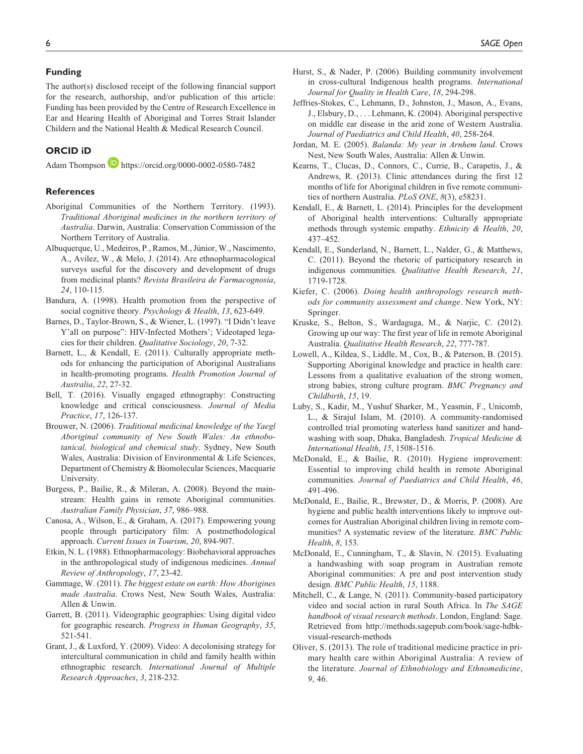## **Funding**

The author(s) disclosed receipt of the following financial support for the research, authorship, and/or publication of this article: Funding has been provided by the Centre of Research Excellence in Ear and Hearing Health of Aboriginal and Torres Strait Islander Childern and the National Health & Medical Research Council.

## **ORCID iD**

Adam Thompson **D** <https://orcid.org/0000-0002-0580-7482>

#### **References**

- Aboriginal Communities of the Northern Territory. (1993). *Traditional Aboriginal medicines in the northern territory of Australia*. Darwin, Australia: Conservation Commission of the Northern Territory of Australia.
- Albuquerque, U., Medeiros, P., Ramos, M., Júnior, W., Nascimento, A., Avilez, W., & Melo, J. (2014). Are ethnopharmacological surveys useful for the discovery and development of drugs from medicinal plants? *Revista Brasileira de Farmacognosia*, *24*, 110-115.
- Bandura, A. (1998). Health promotion from the perspective of social cognitive theory. *Psychology & Health*, *13*, 623-649.
- Barnes, D., Taylor-Brown, S., & Wiener, L. (1997). "I Didn't leave Y'all on purpose": HIV-Infected Mothers'; Videotaped legacies for their children. *Qualitative Sociology*, *20*, 7-32.
- Barnett, L., & Kendall, E. (2011). Culturally appropriate methods for enhancing the participation of Aboriginal Australians in health-promoting programs. *Health Promotion Journal of Australia*, *22*, 27-32.
- Bell, T. (2016). Visually engaged ethnography: Constructing knowledge and critical consciousness. *Journal of Media Practice*, *17*, 126-137.
- Brouwer, N. (2006). *Traditional medicinal knowledge of the Yaegl Aboriginal community of New South Wales: An ethnobotanical, biological and chemical study*. Sydney, New South Wales, Australia: Division of Environmental & Life Sciences, Department of Chemistry & Biomolecular Sciences, Macquarie University.
- Burgess, P., Bailie, R., & Mileran, A. (2008). Beyond the mainstream: Health gains in remote Aboriginal communities. *Australian Family Physician*, *37*, 986–988.
- Canosa, A., Wilson, E., & Graham, A. (2017). Empowering young people through participatory film: A postmethodological approach. *Current Issues in Tourism*, *20*, 894-907.
- Etkin, N. L. (1988). Ethnopharmacology: Biobehavioral approaches in the anthropological study of indigenous medicines. *Annual Review of Anthropology*, *17*, 23-42.
- Gammage, W. (2011). *The biggest estate on earth: How Aborigines made Australia*. Crows Nest, New South Wales, Australia: Allen & Unwin.
- Garrett, B. (2011). Videographic geographies: Using digital video for geographic research. *Progress in Human Geography*, *35*, 521-541.
- Grant, J., & Luxford, Y. (2009). Video: A decolonising strategy for intercultural communication in child and family health within ethnographic research. *International Journal of Multiple Research Approaches*, *3*, 218-232.
- Hurst, S., & Nader, P. (2006). Building community involvement in cross-cultural Indigenous health programs. *International Journal for Quality in Health Care*, *18*, 294-298.
- Jeffries-Stokes, C., Lehmann, D., Johnston, J., Mason, A., Evans, J., Elsbury, D., . . . Lehmann, K. (2004). Aboriginal perspective on middle ear disease in the arid zone of Western Australia. *Journal of Paediatrics and Child Health*, *40*, 258-264.
- Jordan, M. E. (2005). *Balanda: My year in Arnhem land*. Crows Nest, New South Wales, Australia: Allen & Unwin.
- Kearns, T., Clucas, D., Connors, C., Currie, B., Carapetis, J., & Andrews, R. (2013). Clinic attendances during the first 12 months of life for Aboriginal children in five remote communities of northern Australia. *PLoS ONE*, *8*(3), e58231.
- Kendall, E., & Barnett, L. (2014). Principles for the development of Aboriginal health interventions: Culturally appropriate methods through systemic empathy. *Ethnicity & Health*, *20*, 437–452.
- Kendall, E., Sunderland, N., Barnett, L., Nalder, G., & Matthews, C. (2011). Beyond the rhetoric of participatory research in indigenous communities. *Qualitative Health Research*, *21*, 1719-1728.
- Kiefer, C. (2006). *Doing health anthropology research methods for community assessment and change*. New York, NY: Springer.
- Kruske, S., Belton, S., Wardaguga, M., & Narjic, C. (2012). Growing up our way: The first year of life in remote Aboriginal Australia. *Qualitative Health Research*, *22*, 777-787.
- Lowell, A., Kildea, S., Liddle, M., Cox, B., & Paterson, B. (2015). Supporting Aboriginal knowledge and practice in health care: Lessons from a qualitative evaluation of the strong women, strong babies, strong culture program. *BMC Pregnancy and Childbirth*, *15*, 19.
- Luby, S., Kadir, M., Yushuf Sharker, M., Yeasmin, F., Unicomb, L., & Sirajul Islam, M. (2010). A community-randomised controlled trial promoting waterless hand sanitizer and handwashing with soap, Dhaka, Bangladesh. *Tropical Medicine & International Health*, *15*, 1508-1516.
- McDonald, E., & Bailie, R. (2010). Hygiene improvement: Essential to improving child health in remote Aboriginal communities. *Journal of Paediatrics and Child Health*, *46*, 491-496.
- McDonald, E., Bailie, R., Brewster, D., & Morris, P. (2008). Are hygiene and public health interventions likely to improve outcomes for Australian Aboriginal children living in remote communities? A systematic review of the literature. *BMC Public Health*, *8*, 153.
- McDonald, E., Cunningham, T., & Slavin, N. (2015). Evaluating a handwashing with soap program in Australian remote Aboriginal communities: A pre and post intervention study design. *BMC Public Health*, *15*, 1188.
- Mitchell, C., & Lange, N. (2011). Community-based participatory video and social action in rural South Africa. In *The SAGE handbook of visual research methods*. London, England: Sage. Retrieved from [http://methods.sagepub.com/book/sage-hdbk](http://methods.sagepub.com/book/sage-hdbk-visual-research-methods)[visual-research-methods](http://methods.sagepub.com/book/sage-hdbk-visual-research-methods)
- Oliver, S. (2013). The role of traditional medicine practice in primary health care within Aboriginal Australia: A review of the literature. *Journal of Ethnobiology and Ethnomedicine*, *9*, 46.